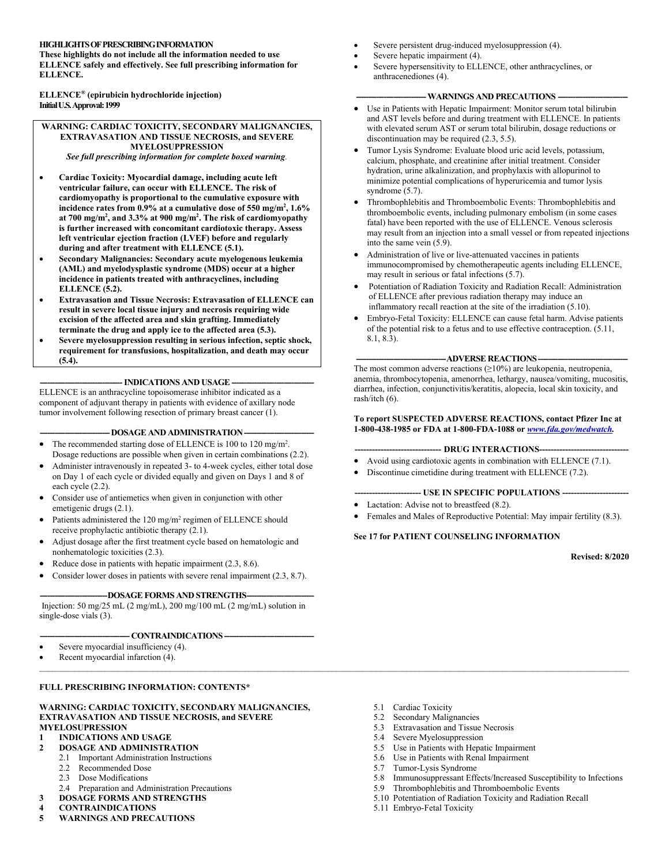# **HIGHLIGHTS OF PRESCRIBING INFORMATION**

**These highlights do not include all the information needed to use ELLENCE safely and effectively. See full prescribing information for ELLENCE.**

**ELLENCE® (epirubicin hydrochloride injection) Initial U.S. Approval: 1999**

### **WARNING: CARDIAC TOXICITY, SECONDARY MALIGNANCIES, EXTRAVASATION AND TISSUE NECROSIS, and SEVERE MYELOSUPPRESSION**

*See full prescribing information for complete boxed warning.*

- **Cardiac Toxicity: Myocardial damage, including acute left ventricular failure, can occur with ELLENCE. The risk of cardiomyopathy is proportional to the cumulative exposure with incidence rates from 0.9% at a cumulative dose of 550 mg/m<sup>2</sup> , 1.6% at 700 mg/m<sup>2</sup> , and 3.3% at 900 mg/m<sup>2</sup> . The risk of cardiomyopathy is further increased with concomitant cardiotoxic therapy. Assess left ventricular ejection fraction (LVEF) before and regularly during and after treatment with ELLENCE (5.1).**
- **Secondary Malignancies: Secondary acute myelogenous leukemia (AML) and myelodysplastic syndrome (MDS) occur at a higher incidence in patients treated with anthracyclines, including ELLENCE (5.2).**
- **Extravasation and Tissue Necrosis: Extravasation of ELLENCE can result in severe local tissue injury and necrosis requiring wide excision of the affected area and skin grafting. Immediately terminate the drug and apply ice to the affected area (5.3).**
- **Severe myelosuppression resulting in serious infection, septic shock, requirement for transfusions, hospitalization, and death may occur (5.4).**

 $-$  **INDICATIONS AND USAGE**  $\cdot$ 

ELLENCE is an anthracycline topoisomerase inhibitor indicated as a component of adjuvant therapy in patients with evidence of axillary node tumor involvement following resection of primary breast cancer (1).

# - DOSAGE AND ADMINISTRATION -

- The recommended starting dose of ELLENCE is 100 to 120 mg/m<sup>2</sup>. Dosage reductions are possible when given in certain combinations (2.2).
- Administer intravenously in repeated 3- to 4-week cycles, either total dose on Day 1 of each cycle or divided equally and given on Days 1 and 8 of each cycle (2.2).
- Consider use of antiemetics when given in conjunction with other emetigenic drugs (2.1).
- $\bullet$  Patients administered the 120 mg/m<sup>2</sup> regimen of ELLENCE should receive prophylactic antibiotic therapy (2.1).
- Adjust dosage after the first treatment cycle based on hematologic and nonhematologic toxicities (2.3).
- Reduce dose in patients with hepatic impairment (2.3, 8.6).
- Consider lower doses in patients with severe renal impairment (2.3, 8.7).

### -DOSAGE FORMS AND STRENGTHS-

Injection: 50 mg/25 mL (2 mg/mL), 200 mg/100 mL (2 mg/mL) solution in single-dose vials (3).

-CONTRAINDICATIONS-

- Severe myocardial insufficiency (4).
- Recent myocardial infarction (4).

# **FULL PRESCRIBING INFORMATION: CONTENTS\***

#### **WARNING: CARDIAC TOXICITY, SECONDARY MALIGNANCIES, EXTRAVASATION AND TISSUE NECROSIS, and SEVERE MYELOSUPRESSION**

- **1 INDICATIONS AND USAGE**
- **2 DOSAGE AND ADMINISTRATION**
	- 2.1 Important Administration Instructions
	- 2.2 Recommended Dose
	- 2.3 Dose Modifications
	- 2.4 Preparation and Administration Precautions
- **3 DOSAGE FORMS AND STRENGTHS**
- **4 CONTRAINDICATIONS**
- **5 WARNINGS AND PRECAUTIONS**
- Severe persistent drug-induced myelosuppression (4).
- Severe hepatic impairment (4).
- Severe hypersensitivity to ELLENCE, other anthracyclines, or anthracenediones (4).

# $-$  WARNINGS AND PRECAUTIONS  $-$

- Use in Patients with Hepatic Impairment: Monitor serum total bilirubin and AST levels before and during treatment with ELLENCE. In patients with elevated serum AST or serum total bilirubin, dosage reductions or discontinuation may be required (2.3, 5.5).
- Tumor Lysis Syndrome: Evaluate blood uric acid levels, potassium, calcium, phosphate, and creatinine after initial treatment. Consider hydration, urine alkalinization, and prophylaxis with allopurinol to minimize potential complications of hyperuricemia and tumor lysis syndrome (5.7).
- Thrombophlebitis and Thromboembolic Events: Thrombophlebitis and thromboembolic events, including pulmonary embolism (in some cases fatal) have been reported with the use of ELLENCE. Venous sclerosis may result from an injection into a small vessel or from repeated injections into the same vein (5.9).
- Administration of live or live-attenuated vaccines in patients immunocompromised by chemotherapeutic agents including ELLENCE, may result in serious or fatal infections (5.7).
- Potentiation of Radiation Toxicity and Radiation Recall: Administration of ELLENCE after previous radiation therapy may induce an inflammatory recall reaction at the site of the irradiation (5.10).
- Embryo-Fetal Toxicity: ELLENCE can cause fetal harm. Advise patients of the potential risk to a fetus and to use effective contraception. (5.11, 8.1, 8.3).

# -ADVERSE REACTIONS-

The most common adverse reactions  $(\geq 10\%)$  are leukopenia, neutropenia, anemia, thrombocytopenia, amenorrhea, lethargy, nausea/vomiting, mucositis, diarrhea, infection, conjunctivitis/keratitis, alopecia, local skin toxicity, and rash/itch (6).

# **To report SUSPECTED ADVERSE REACTIONS, contact Pfizer Inc at 1-800-438-1985 or FDA at 1-800-FDA-1088 or** *[www.fda.gov/medwatch](http://www.fda.gov/medwatch).*

### **------------------------------ DRUG INTERACTIONS-------------------------------**

- Avoid using cardiotoxic agents in combination with ELLENCE (7.1).
- Discontinue cimetidine during treatment with ELLENCE (7.2).

### **----------------------- USE IN SPECIFIC POPULATIONS -----------------------**

- Lactation: Advise not to breastfeed (8.2).
- Females and Males of Reproductive Potential: May impair fertility (8.3).

# **See 17 for PATIENT COUNSELING INFORMATION**

**Revised: 8/2020**

- 5.1 Cardiac Toxicity
- 5.2 Secondary Malignancies
- 5.3 Extravasation and Tissue Necrosis
- 5.4 Severe Myelosuppression
- 5.5 Use in Patients with Hepatic Impairment
- 5.6 Use in Patients with Renal Impairment
- 5.7 Tumor-Lysis Syndrome
- 5.8 Immunosuppressant Effects/Increased Susceptibility to Infections
- 5.9 Thrombophlebitis and Thromboembolic Events
- 5.10 Potentiation of Radiation Toxicity and Radiation Recall
- 5.11 Embryo-Fetal Toxicity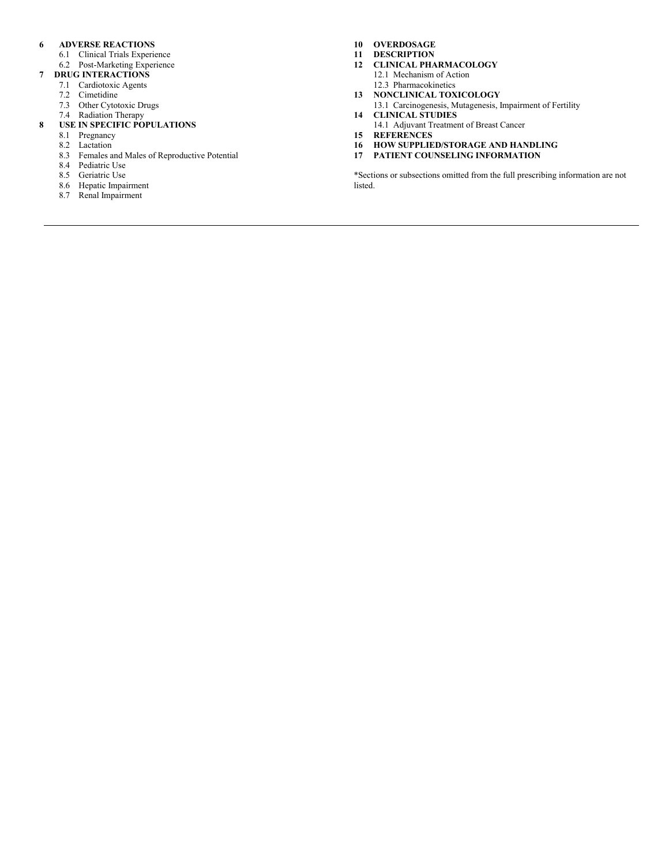# **6 ADVERSE REACTIONS**

- 6.1 Clinical Trials Experience
- 6.2 Post-Marketing Experience
- **7 DRUG INTERACTIONS**
	- 7.1 Cardiotoxic Agents
	- 7.2 Cimetidine
	- 7.3 Other Cytotoxic Drugs
	- 7.4 Radiation Therapy

# **8 USE IN SPECIFIC POPULATIONS**

- 8.1 Pregnancy
	- 8.2 Lactation
	- 8.3 Females and Males of Reproductive Potential
	- 8.4 Pediatric Use
	- 8.5 Geriatric Use
	- 8.6 Hepatic Impairment
	- 8.7 Renal Impairment
- **10 OVERDOSAGE**
- **11 DESCRIPTION**
- **12 CLINICAL PHARMACOLOGY**
	- 12.1 Mechanism of Action 12.3 Pharmacokinetics
- **13 NONCLINICAL TOXICOLOGY** 13.1 Carcinogenesis, Mutagenesis, Impairment of Fertility
- **14 CLINICAL STUDIES**
- 14.1 Adjuvant Treatment of Breast Cancer
- **15 REFERENCES**
- **16 HOW SUPPLIED/STORAGE AND HANDLING**
- **17 PATIENT COUNSELING INFORMATION**

\*Sections or subsections omitted from the full prescribing information are not listed.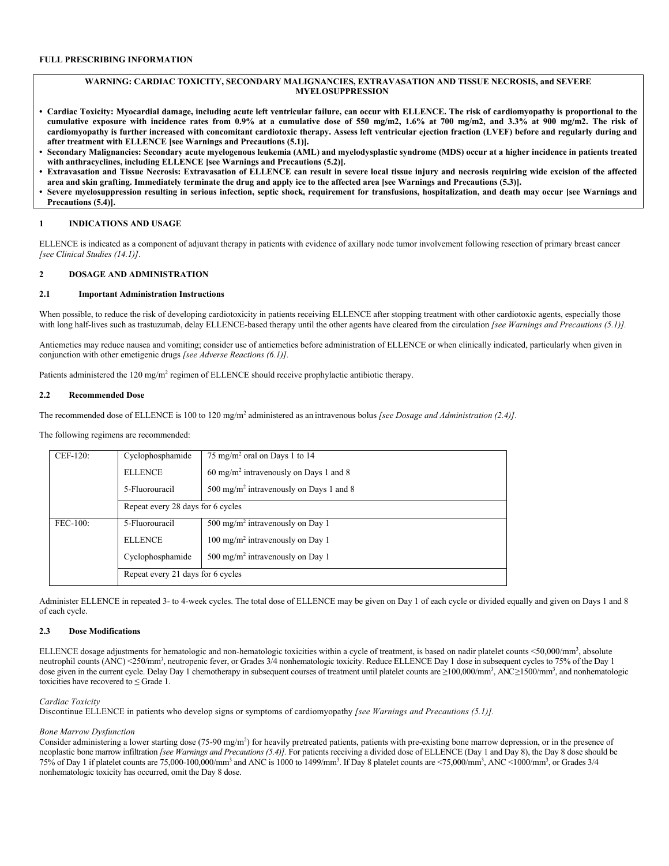# **WARNING: CARDIAC TOXICITY, SECONDARY MALIGNANCIES, EXTRAVASATION AND TISSUE NECROSIS, and SEVERE MYELOSUPPRESSION**

- **• Cardiac Toxicity: Myocardial damage, including acute left ventricular failure, can occur with ELLENCE. The risk of cardiomyopathy is proportional to the cumulative exposure with incidence rates from 0.9% at a cumulative dose of 550 mg/m2, 1.6% at 700 mg/m2, and 3.3% at 900 mg/m2. The risk of cardiomyopathy is further increased with concomitant cardiotoxic therapy. Assess left ventricular ejection fraction (LVEF) before and regularly during and after treatment with ELLENCE [see Warnings and Precautions (5.1)].**
- **• Secondary Malignancies: Secondary acute myelogenous leukemia (AML) and myelodysplastic syndrome (MDS) occur at a higher incidence in patients treated with anthracyclines, including ELLENCE [see Warnings and Precautions (5.2)].**
- **• Extravasation and Tissue Necrosis: Extravasation of ELLENCE can result in severe local tissue injury and necrosis requiring wide excision of the affected area and skin grafting. Immediately terminate the drug and apply ice to the affected area [see Warnings and Precautions (5.3)].**
- **• Severe myelosuppression resulting in serious infection, septic shock, requirement for transfusions, hospitalization, and death may occur [see Warnings and Precautions (5.4)].**

# **1 INDICATIONS AND USAGE**

ELLENCE is indicated as a component of adjuvant therapy in patients with evidence of axillary node tumor involvement following resection of primary breast cancer *[see Clinical Studies (14.1)]*.

### **2 DOSAGE AND ADMINISTRATION**

### **2.1 Important Administration Instructions**

When possible, to reduce the risk of developing cardiotoxicity in patients receiving ELLENCE after stopping treatment with other cardiotoxic agents, especially those with long half-lives such as trastuzumab, delay ELLENCE-based therapy until the other agents have cleared from the circulation *[see Warnings and Precautions (5.1)]*.

Antiemetics may reduce nausea and vomiting; consider use of antiemetics before administration of ELLENCE or when clinically indicated, particularly when given in conjunction with other emetigenic drugs *[see Adverse Reactions (6.1)].*

Patients administered the 120 mg/m<sup>2</sup> regimen of ELLENCE should receive prophylactic antibiotic therapy.

# **2.2 Recommended Dose**

The recommended dose of ELLENCE is 100 to 120 mg/m<sup>2</sup> administered as an intravenous bolus *[see Dosage and Administration (2.4)]*.

The following regimens are recommended:

| CEF-120:   | Cyclophosphamide                  | 75 mg/m <sup>2</sup> oral on Days 1 to 14           |  |  |  |  |
|------------|-----------------------------------|-----------------------------------------------------|--|--|--|--|
|            | <b>ELLENCE</b>                    | $60 \text{ mg/m}^2$ intravenously on Days 1 and 8   |  |  |  |  |
|            | 5-Fluorouracil                    | 500 mg/m <sup>2</sup> intravenously on Days 1 and 8 |  |  |  |  |
|            |                                   | Repeat every 28 days for 6 cycles                   |  |  |  |  |
| $FEC-100:$ | 5-Fluorouracil                    | 500 mg/m <sup>2</sup> intravenously on Day 1        |  |  |  |  |
|            | <b>ELLENCE</b>                    | 100 mg/m <sup>2</sup> intravenously on Day 1        |  |  |  |  |
|            | Cyclophosphamide                  | 500 mg/m <sup>2</sup> intravenously on Day 1        |  |  |  |  |
|            | Repeat every 21 days for 6 cycles |                                                     |  |  |  |  |

Administer ELLENCE in repeated 3- to 4-week cycles. The total dose of ELLENCE may be given on Day 1 of each cycle or divided equally and given on Days 1 and 8 of each cycle.

#### **2.3 Dose Modifications**

ELLENCE dosage adjustments for hematologic and non-hematologic toxicities within a cycle of treatment, is based on nadir platelet counts <50,000/mm<sup>3</sup>, absolute neutrophil counts (ANC) <250/mm<sup>3</sup>, neutropenic fever, or Grades 3/4 nonhematologic toxicity. Reduce ELLENCE Day 1 dose in subsequent cycles to 75% of the Day 1 dose given in the current cycle. Delay Day 1 chemotherapy in subsequent courses of treatment until platelet counts are ≥100,000/mm<sup>3</sup>, ANC≥1500/mm<sup>3</sup>, and nonhematologic toxicities have recovered to  $\leq$  Grade 1.

# *Cardiac Toxicity*

Discontinue ELLENCE in patients who develop signs or symptoms of cardiomyopathy *[see Warnings and Precautions (5.1)].*

### *Bone Marrow Dysfunction*

Consider administering a lower starting dose (75-90 mg/m<sup>2</sup>) for heavily pretreated patients, patients with pre-existing bone marrow depression, or in the presence of neoplastic bone marrow infiltration *[see Warnings and Precautions (5.4)].* For patients receiving a divided dose of ELLENCE (Day 1 and Day 8), the Day 8 dose should be 75% of Day 1 if platelet counts are 75,000-100,000/mm<sup>3</sup> and ANC is 1000 to 1499/mm<sup>3</sup>. If Day 8 platelet counts are <75,000/mm<sup>3</sup>, ANC <1000/mm<sup>3</sup>, or Grades 3/4 nonhematologic toxicity has occurred, omit the Day 8 dose.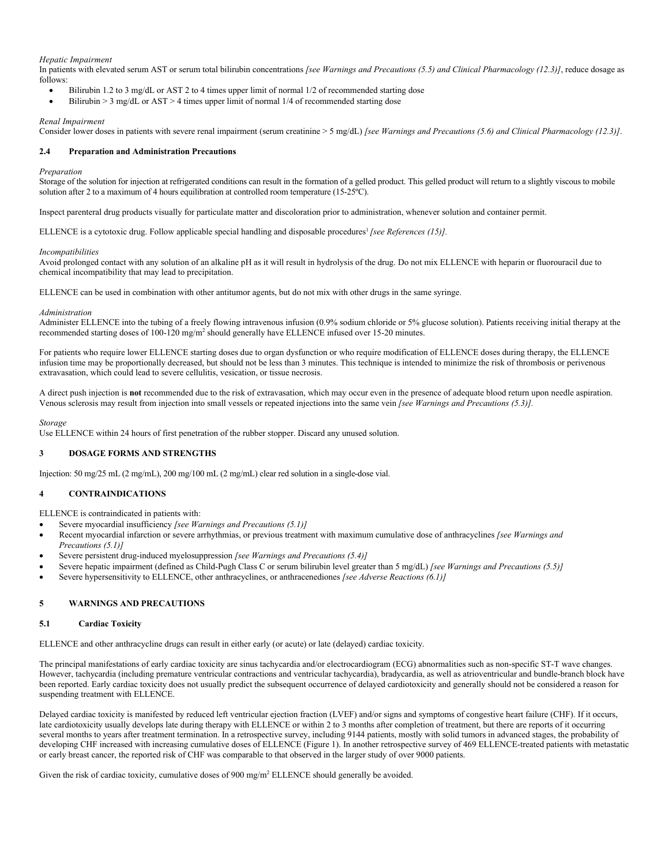# *Hepatic Impairment*

In patients with elevated serum AST or serum total bilirubin concentrations *[see Warnings and Precautions (5.5) and Clinical Pharmacology (12.3)]*, reduce dosage as follows:

- Bilirubin 1.2 to 3 mg/dL or AST 2 to 4 times upper limit of normal 1/2 of recommended starting dose
- Bilirubin  $> 3$  mg/dL or AST  $> 4$  times upper limit of normal 1/4 of recommended starting dose

# *Renal Impairment*

Consider lower doses in patients with severe renal impairment (serum creatinine > 5 mg/dL) *[see Warnings and Precautions (5.6) and Clinical Pharmacology (12.3)]*.

# **2.4 Preparation and Administration Precautions**

# *Preparation*

Storage of the solution for injection at refrigerated conditions can result in the formation of a gelled product. This gelled product will return to a slightly viscous to mobile solution after 2 to a maximum of 4 hours equilibration at controlled room temperature (15-25°C).

Inspect parenteral drug products visually for particulate matter and discoloration prior to administration, whenever solution and container permit.

ELLENCE is a cytotoxic drug. Follow applicable special handling and disposable procedures<sup>1</sup> [see References (15)].

### *Incompatibilities*

Avoid prolonged contact with any solution of an alkaline pH as it will result in hydrolysis of the drug. Do not mix ELLENCE with heparin or fluorouracil due to chemical incompatibility that may lead to precipitation.

ELLENCE can be used in combination with other antitumor agents, but do not mix with other drugs in the same syringe.

# *Administration*

Administer ELLENCE into the tubing of a freely flowing intravenous infusion (0.9% sodium chloride or 5% glucose solution). Patients receiving initial therapy at the recommended starting doses of 100-120 mg/m<sup>2</sup> should generally have ELLENCE infused over 15-20 minutes.

For patients who require lower ELLENCE starting doses due to organ dysfunction or who require modification of ELLENCE doses during therapy, the ELLENCE infusion time may be proportionally decreased, but should not be less than 3 minutes. This technique is intended to minimize the risk of thrombosis or perivenous extravasation, which could lead to severe cellulitis, vesication, or tissue necrosis.

A direct push injection is **not** recommended due to the risk of extravasation, which may occur even in the presence of adequate blood return upon needle aspiration. Venous sclerosis may result from injection into small vessels or repeated injections into the same vein *[see Warnings and Precautions (5.3)].*

### *Storage*

Use ELLENCE within 24 hours of first penetration of the rubber stopper. Discard any unused solution.

# **3 DOSAGE FORMS AND STRENGTHS**

Injection: 50 mg/25 mL (2 mg/mL), 200 mg/100 mL (2 mg/mL) clear red solution in a single-dose vial.

# **4 CONTRAINDICATIONS**

ELLENCE is contraindicated in patients with:

- Severe myocardial insufficiency *[see Warnings and Precautions (5.1)]*
- Recent myocardial infarction or severe arrhythmias, or previous treatment with maximum cumulative dose of anthracyclines *[see Warnings and Precautions (5.1)]*
- Severe persistent drug-induced myelosuppression *[see Warnings and Precautions (5.4)]*
- Severe hepatic impairment (defined as Child-Pugh Class C or serum bilirubin level greater than 5 mg/dL) *[see Warnings and Precautions (5.5)]*
- Severe hypersensitivity to ELLENCE, other anthracyclines, or anthracenediones *[see Adverse Reactions (6.1)]*

# **5 WARNINGS AND PRECAUTIONS**

### **5.1 Cardiac Toxicity**

ELLENCE and other anthracycline drugs can result in either early (or acute) or late (delayed) cardiac toxicity.

The principal manifestations of early cardiac toxicity are sinus tachycardia and/or electrocardiogram (ECG) abnormalities such as non-specific ST-T wave changes. However, tachycardia (including premature ventricular contractions and ventricular tachycardia), bradycardia, as well as atrioventricular and bundle-branch block have been reported. Early cardiac toxicity does not usually predict the subsequent occurrence of delayed cardiotoxicity and generally should not be considered a reason for suspending treatment with ELLENCE.

Delayed cardiac toxicity is manifested by reduced left ventricular ejection fraction (LVEF) and/or signs and symptoms of congestive heart failure (CHF). If it occurs, late cardiotoxicity usually develops late during therapy with ELLENCE or within 2 to 3 months after completion of treatment, but there are reports of it occurring several months to years after treatment termination. In a retrospective survey, including 9144 patients, mostly with solid tumors in advanced stages, the probability of developing CHF increased with increasing cumulative doses of ELLENCE (Figure 1). In another retrospective survey of 469 ELLENCE-treated patients with metastatic or early breast cancer, the reported risk of CHF was comparable to that observed in the larger study of over 9000 patients.

Given the risk of cardiac toxicity, cumulative doses of 900 mg/m<sup>2</sup> ELLENCE should generally be avoided.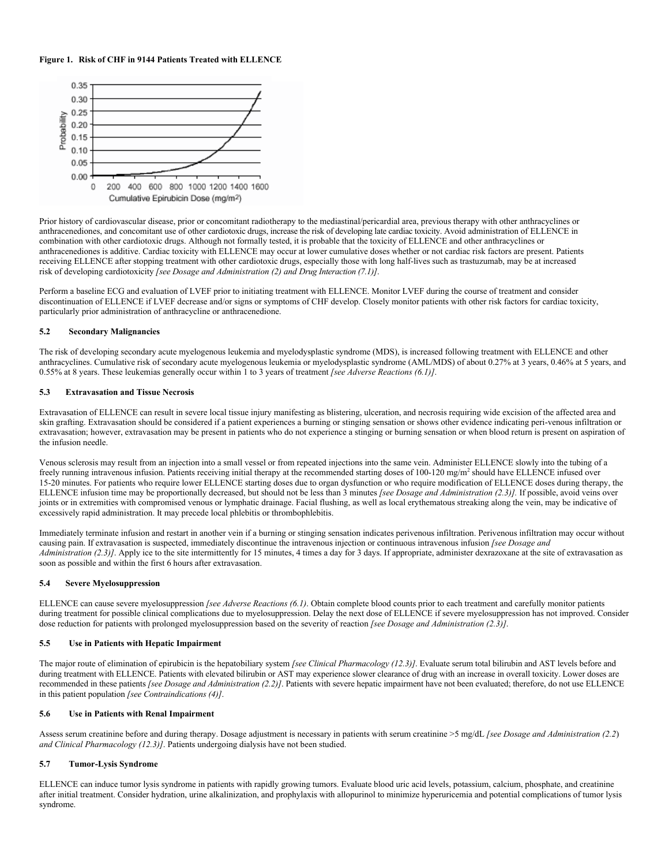# **Figure 1. Risk of CHF in 9144 Patients Treated with ELLENCE**



Prior history of cardiovascular disease, prior or concomitant radiotherapy to the mediastinal/pericardial area, previous therapy with other anthracyclines or anthracenediones, and concomitant use of other cardiotoxic drugs, increase the risk of developing late cardiac toxicity. Avoid administration of ELLENCE in combination with other cardiotoxic drugs. Although not formally tested, it is probable that the toxicity of ELLENCE and other anthracyclines or anthracenediones is additive. Cardiac toxicity with ELLENCE may occur at lower cumulative doses whether or not cardiac risk factors are present. Patients receiving ELLENCE after stopping treatment with other cardiotoxic drugs, especially those with long half-lives such as trastuzumab, may be at increased risk of developing cardiotoxicity *[see Dosage and Administration (2) and Drug Interaction (7.1)]*.

Perform a baseline ECG and evaluation of LVEF prior to initiating treatment with ELLENCE. Monitor LVEF during the course of treatment and consider discontinuation of ELLENCE if LVEF decrease and/or signs or symptoms of CHF develop. Closely monitor patients with other risk factors for cardiac toxicity, particularly prior administration of anthracycline or anthracenedione.

# **5.2 Secondary Malignancies**

The risk of developing secondary acute myelogenous leukemia and myelodysplastic syndrome (MDS), is increased following treatment with ELLENCE and other anthracyclines. Cumulative risk of secondary acute myelogenous leukemia or myelodysplastic syndrome (AML/MDS) of about 0.27% at 3 years, 0.46% at 5 years, and 0.55% at 8 years. These leukemias generally occur within 1 to 3 years of treatment *[see Adverse Reactions (6.1)]*.

# **5.3 Extravasation and Tissue Necrosis**

Extravasation of ELLENCE can result in severe local tissue injury manifesting as blistering, ulceration, and necrosis requiring wide excision of the affected area and skin grafting. Extravasation should be considered if a patient experiences a burning or stinging sensation or shows other evidence indicating peri-venous infiltration or extravasation; however, extravasation may be present in patients who do not experience a stinging or burning sensation or when blood return is present on aspiration of the infusion needle.

Venous sclerosis may result from an injection into a small vessel or from repeated injections into the same vein. Administer ELLENCE slowly into the tubing of a freely running intravenous infusion. Patients receiving initial therapy at the recommended starting doses of 100-120 mg/m<sup>2</sup> should have ELLENCE infused over 15-20 minutes. For patients who require lower ELLENCE starting doses due to organ dysfunction or who require modification of ELLENCE doses during therapy, the ELLENCE infusion time may be proportionally decreased, but should not be less than 3 minutes *[see Dosage and Administration (2.3)].* If possible, avoid veins over joints or in extremities with compromised venous or lymphatic drainage. Facial flushing, as well as local erythematous streaking along the vein, may be indicative of excessively rapid administration. It may precede local phlebitis or thrombophlebitis.

Immediately terminate infusion and restart in another vein if a burning or stinging sensation indicates perivenous infiltration. Perivenous infiltration may occur without causing pain. If extravasation is suspected, immediately discontinue the intravenous injection or continuous intravenous infusion *[see Dosage and Administration* (2.3)]. Apply ice to the site intermittently for 15 minutes, 4 times a day for 3 days. If appropriate, administer dexrazoxane at the site of extravasation as soon as possible and within the first 6 hours after extravasation.

# **5.4 Severe Myelosuppression**

ELLENCE can cause severe myelosuppression *[see Adverse Reactions (6.1)*. Obtain complete blood counts prior to each treatment and carefully monitor patients during treatment for possible clinical complications due to myelosuppression. Delay the next dose of ELLENCE if severe myelosuppression has not improved. Consider dose reduction for patients with prolonged myelosuppression based on the severity of reaction *[see Dosage and Administration (2.3)]*.

## **5.5 Use in Patients with Hepatic Impairment**

The major route of elimination of epirubicin is the hepatobiliary system *[see Clinical Pharmacology (12.3)]*. Evaluate serum total bilirubin and AST levels before and during treatment with ELLENCE. Patients with elevated bilirubin or AST may experience slower clearance of drug with an increase in overall toxicity. Lower doses are recommended in these patients *[see Dosage and Administration (2.2)]*. Patients with severe hepatic impairment have not been evaluated; therefore, do not use ELLENCE in this patient population *[see Contraindications (4)]*.

# **5.6 Use in Patients with Renal Impairment**

Assess serum creatinine before and during therapy. Dosage adjustment is necessary in patients with serum creatinine >5 mg/dL *[see Dosage and Administration (2.2*) *and Clinical Pharmacology (12.3)]*. Patients undergoing dialysis have not been studied.

## **5.7 Tumor-Lysis Syndrome**

ELLENCE can induce tumor lysis syndrome in patients with rapidly growing tumors. Evaluate blood uric acid levels, potassium, calcium, phosphate, and creatinine after initial treatment. Consider hydration, urine alkalinization, and prophylaxis with allopurinol to minimize hyperuricemia and potential complications of tumor lysis syndrome.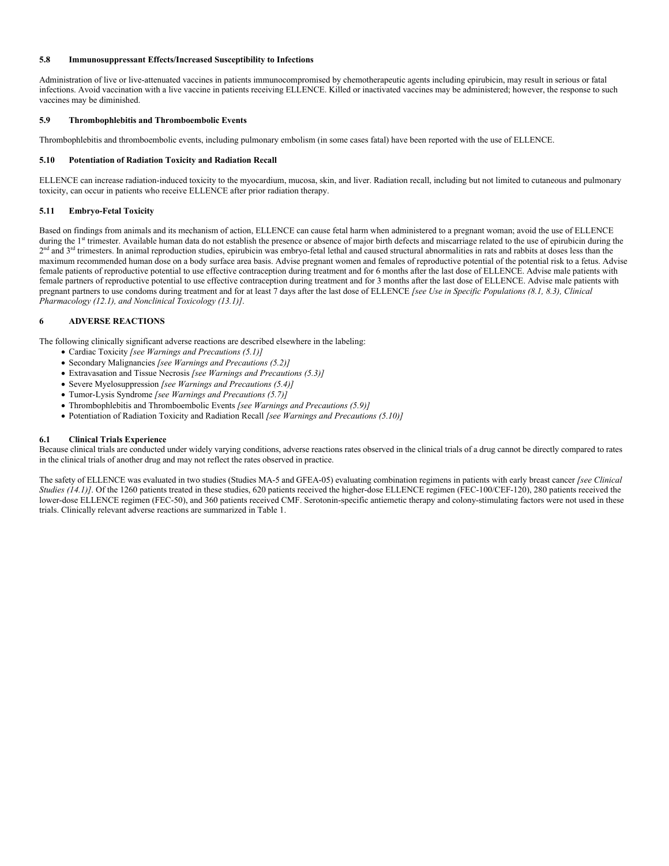# **5.8 Immunosuppressant Effects/Increased Susceptibility to Infections**

Administration of live or live-attenuated vaccines in patients immunocompromised by chemotherapeutic agents including epirubicin, may result in serious or fatal infections. Avoid vaccination with a live vaccine in patients receiving ELLENCE. Killed or inactivated vaccines may be administered; however, the response to such vaccines may be diminished.

# **5.9 Thrombophlebitis and Thromboembolic Events**

Thrombophlebitis and thromboembolic events, including pulmonary embolism (in some cases fatal) have been reported with the use of ELLENCE.

# **5.10 Potentiation of Radiation Toxicity and Radiation Recall**

ELLENCE can increase radiation-induced toxicity to the myocardium, mucosa, skin, and liver. Radiation recall, including but not limited to cutaneous and pulmonary toxicity, can occur in patients who receive ELLENCE after prior radiation therapy.

# **5.11 Embryo-Fetal Toxicity**

Based on findings from animals and its mechanism of action, ELLENCE can cause fetal harm when administered to a pregnant woman; avoid the use of ELLENCE during the 1<sup>st</sup> trimester. Available human data do not establish the presence or absence of major birth defects and miscarriage related to the use of epirubicin during the  $2<sup>nd</sup>$  and  $3<sup>rd</sup>$  trimesters. In animal reproduction studies, epirubicin was embryo-fetal lethal and caused structural abnormalities in rats and rabbits at doses less than the maximum recommended human dose on a body surface area basis. Advise pregnant women and females of reproductive potential of the potential risk to a fetus. Advise female patients of reproductive potential to use effective contraception during treatment and for 6 months after the last dose of ELLENCE. Advise male patients with female partners of reproductive potential to use effective contraception during treatment and for 3 months after the last dose of ELLENCE. Advise male patients with pregnant partners to use condoms during treatment and for at least 7 days after the last dose of ELLENCE *[see Use in Specific Populations (8.1, 8.3), Clinical Pharmacology (12.1), and Nonclinical Toxicology (13.1)]*.

# **6 ADVERSE REACTIONS**

The following clinically significant adverse reactions are described elsewhere in the labeling:

- Cardiac Toxicity *[see Warnings and Precautions (5.1)]*
- Secondary Malignancies *[see Warnings and Precautions (5.2)]*
- Extravasation and Tissue Necrosis *[see Warnings and Precautions (5.3)]*
- Severe Myelosuppression *[see Warnings and Precautions (5.4)]*
- Tumor-Lysis Syndrome *[see Warnings and Precautions (5.7)]*
- Thrombophlebitis and Thromboembolic Events *[see Warnings and Precautions (5.9)]*
- Potentiation of Radiation Toxicity and Radiation Recall *[see Warnings and Precautions (5.10)]*

# **6.1 Clinical Trials Experience**

Because clinical trials are conducted under widely varying conditions, adverse reactions rates observed in the clinical trials of a drug cannot be directly compared to rates in the clinical trials of another drug and may not reflect the rates observed in practice.

The safety of ELLENCE was evaluated in two studies (Studies MA-5 and GFEA-05) evaluating combination regimens in patients with early breast cancer *[see Clinical Studies (14.1)]*. Of the 1260 patients treated in these studies, 620 patients received the higher-dose ELLENCE regimen (FEC-100/CEF-120), 280 patients received the lower-dose ELLENCE regimen (FEC-50), and 360 patients received CMF. Serotonin-specific antiemetic therapy and colony-stimulating factors were not used in these trials. Clinically relevant adverse reactions are summarized in Table 1.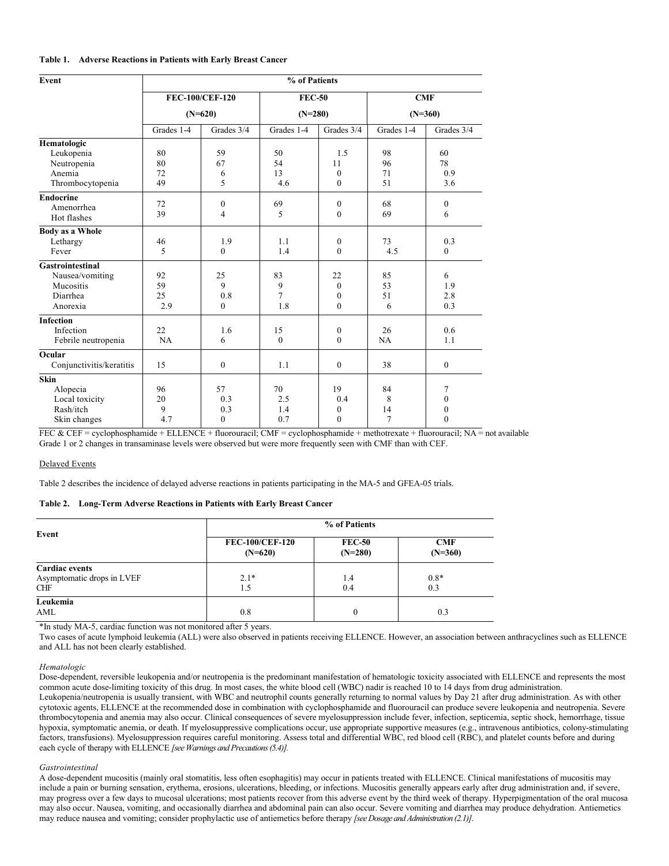# **Table 1. Adverse Reactions in Patients with Early Breast Cancer**

| Event                    | % of Patients |                 |                |                  |            |                  |  |
|--------------------------|---------------|-----------------|----------------|------------------|------------|------------------|--|
|                          |               | FEC-100/CEF-120 | <b>FEC-50</b>  |                  |            | CMF              |  |
|                          | $(N=620)$     |                 | $(N=280)$      |                  | $(N=360)$  |                  |  |
|                          | Grades 1-4    | Grades 3/4      | Grades 1-4     | Grades 3/4       | Grades 1-4 | Grades 3/4       |  |
| Hematologic              |               |                 |                |                  |            |                  |  |
| Leukopenia               | 80            | 59              | 50             | 1.5              | 98         | 60               |  |
| Neutropenia              | 80            | 67              | 54             | 11               | 96         | 78               |  |
| Anemia                   | 72            | 6               | 13             | $\boldsymbol{0}$ | 71         | 0.9              |  |
| Thrombocytopenia         | 49            | 5               | 4.6            | $\mathbf{0}$     | 51         | 3.6              |  |
| <b>Endocrine</b>         |               |                 |                |                  |            |                  |  |
| Amenorrhea               | 72            | $\mathbf{0}$    | 69             | $\mathbf{0}$     | 68         | $\boldsymbol{0}$ |  |
| Hot flashes              | 39            | $\overline{4}$  | 5              | $\mathbf{0}$     | 69         | 6                |  |
| <b>Body as a Whole</b>   |               |                 |                |                  |            |                  |  |
| Lethargy                 | 46            | 1.9             | 1.1            | $\boldsymbol{0}$ | 73         | 0.3              |  |
| Fever                    | 5             | $\theta$        | 1.4            | $\mathbf{0}$     | 4.5        | $\boldsymbol{0}$ |  |
| <b>Gastrointestinal</b>  |               |                 |                |                  |            |                  |  |
| Nausea/vomiting          | 92            | 25              | 83             | 22               | 85         | 6                |  |
| Mucositis                | 59            | 9               | 9              | $\mathbf{0}$     | 53         | 1.9              |  |
| Diarrhea                 | 25            | 0.8             | $\overline{7}$ | $\boldsymbol{0}$ | 51         | 2.8              |  |
| Anorexia                 | 2.9           | $\mathbf{0}$    | 1.8            | $\mathbf{0}$     | 6          | 0.3              |  |
| <b>Infection</b>         |               |                 |                |                  |            |                  |  |
| Infection                | 22            | 1.6             | 15             | $\boldsymbol{0}$ | 26         | 0.6              |  |
| Febrile neutropenia      | NA            | 6               | $\mathbf{0}$   | $\mathbf{0}$     | NA         | 1.1              |  |
| Ocular                   |               |                 |                |                  |            |                  |  |
| Conjunctivitis/keratitis | 15            | $\mathbf{0}$    | 1.1            | $\mathbf{0}$     | 38         | $\mathbf{0}$     |  |
| <b>Skin</b>              |               |                 |                |                  |            |                  |  |
| Alopecia                 | 96            | 57              | 70             | 19               | 84         | 7                |  |
| Local toxicity           | 20            | 0.3             | 2.5            | 0.4              | 8          | $\mathbf{0}$     |  |
| Rash/itch                | 9             | 0.3             | 1.4            | $\boldsymbol{0}$ | 14         | $\boldsymbol{0}$ |  |
| Skin changes             | 4.7           | $\mathbf{0}$    | 0.7            | $\mathbf{0}$     | 7          | $\mathbf{0}$     |  |

FEC & CEF = cyclophosphamide + ELLENCE + fluorouracil; CMF = cyclophosphamide + methotrexate + fluorouracil; NA = not available Grade 1 or 2 changes in transaminase levels were observed but were more frequently seen with CMF than with CEF.

### Delayed Events

Table 2 describes the incidence of delayed adverse reactions in patients participating in the MA-5 and GFEA-05 trials.

# **Table 2. Long-Term Adverse Reactions in Patients with Early Breast Cancer**

|                            | % of Patients                       |                            |                         |  |
|----------------------------|-------------------------------------|----------------------------|-------------------------|--|
| Event                      | <b>FEC-100/CEF-120</b><br>$(N=620)$ | <b>FEC-50</b><br>$(N=280)$ | <b>CMF</b><br>$(N=360)$ |  |
| <b>Cardiac</b> events      |                                     |                            |                         |  |
| Asymptomatic drops in LVEF | $2.1*$                              | 1.4                        | $0.8*$                  |  |
| <b>CHF</b>                 | 1.5                                 | 0.4                        | 0.3                     |  |
| Leukemia                   |                                     |                            |                         |  |
| AML                        | 0.8                                 | $\mathbf{0}$               | 0.3                     |  |

\*In study MA-5, cardiac function was not monitored after 5 years.

Two cases of acute lymphoid leukemia (ALL) were also observed in patients receiving ELLENCE. However, an association between anthracyclines such as ELLENCE and ALL has not been clearly established.

#### *Hematologic*

Dose-dependent, reversible leukopenia and/or neutropenia is the predominant manifestation of hematologic toxicity associated with ELLENCE and represents the most common acute dose-limiting toxicity of this drug. In most cases, the white blood cell (WBC) nadir is reached 10 to 14 days from drug administration. Leukopenia/neutropenia is usually transient, with WBC and neutrophil counts generally returning to normal values by Day 21 after drug administration. As with other cytotoxic agents, ELLENCE at the recommended dose in combination with cyclophosphamide and fluorouracil can produce severe leukopenia and neutropenia. Severe thrombocytopenia and anemia may also occur. Clinical consequences of severe myelosuppression include fever, infection, septicemia, septic shock, hemorrhage, tissue hypoxia, symptomatic anemia, or death. If myelosuppressive complications occur, use appropriate supportive measures (e.g., intravenous antibiotics, colony-stimulating factors, transfusions). Myelosuppression requires careful monitoring. Assess total and differential WBC, red blood cell (RBC), and platelet counts before and during each cycle of therapy with ELLENCE *[see Warnings and Precautions (5.4)].*

# *Gastrointestinal*

A dose-dependent mucositis (mainly oral stomatitis, less often esophagitis) may occur in patients treated with ELLENCE. Clinical manifestations of mucositis may include a pain or burning sensation, erythema, erosions, ulcerations, bleeding, or infections. Mucositis generally appears early after drug administration and, if severe, may progress over a few days to mucosal ulcerations; most patients recover from this adverse event by the third week of therapy. Hyperpigmentation of the oral mucosa may also occur. Nausea, vomiting, and occasionally diarrhea and abdominal pain can also occur. Severe vomiting and diarrhea may produce dehydration. Antiemetics may reduce nausea and vomiting; consider prophylactic use of antiemetics before therapy *[see Dosage and Administration (2.1)]*.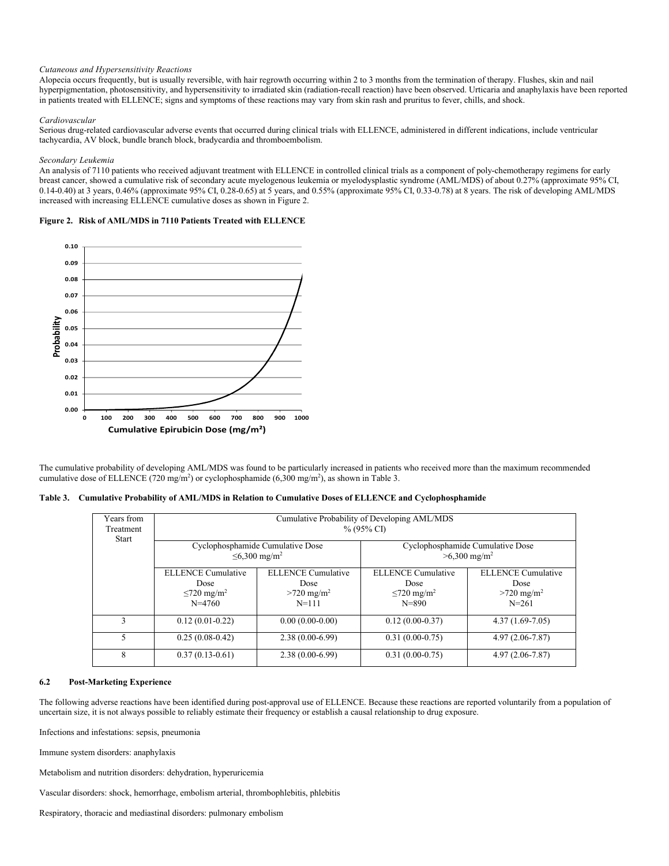# *Cutaneous and Hypersensitivity Reactions*

Alopecia occurs frequently, but is usually reversible, with hair regrowth occurring within 2 to 3 months from the termination of therapy. Flushes, skin and nail hyperpigmentation, photosensitivity, and hypersensitivity to irradiated skin (radiation-recall reaction) have been observed. Urticaria and anaphylaxis have been reported in patients treated with ELLENCE; signs and symptoms of these reactions may vary from skin rash and pruritus to fever, chills, and shock.

#### *Cardiovascular*

Serious drug-related cardiovascular adverse events that occurred during clinical trials with ELLENCE, administered in different indications, include ventricular tachycardia, AV block, bundle branch block, bradycardia and thromboembolism.

#### *Secondary Leukemia*

An analysis of 7110 patients who received adjuvant treatment with ELLENCE in controlled clinical trials as a component of poly-chemotherapy regimens for early breast cancer, showed a cumulative risk of secondary acute myelogenous leukemia or myelodysplastic syndrome (AML/MDS) of about 0.27% (approximate 95% CI, 0.14-0.40) at 3 years, 0.46% (approximate 95% CI, 0.28-0.65) at 5 years, and 0.55% (approximate 95% CI, 0.33-0.78) at 8 years. The risk of developing AML/MDS increased with increasing ELLENCE cumulative doses as shown in Figure 2.

**Figure 2. Risk of AML/MDS in 7110 Patients Treated with ELLENCE**



The cumulative probability of developing AML/MDS was found to be particularly increased in patients who received more than the maximum recommended cumulative dose of ELLENCE (720 mg/m<sup>2</sup>) or cyclophosphamide (6,300 mg/m<sup>2</sup>), as shown in Table 3.

|  | Table 3. Cumulative Probability of AML/MDS in Relation to Cumulative Doses of ELLENCE and Cyclophosphamide |  |  |
|--|------------------------------------------------------------------------------------------------------------|--|--|
|  |                                                                                                            |  |  |

| Years from                | Cumulative Probability of Developing AML/MDS<br>$% (95\% CI)$ |                           |                              |                                  |  |  |
|---------------------------|---------------------------------------------------------------|---------------------------|------------------------------|----------------------------------|--|--|
| Treatment<br><b>Start</b> |                                                               |                           |                              |                                  |  |  |
|                           | Cyclophosphamide Cumulative Dose<br>≤6,300 mg/m <sup>2</sup>  |                           |                              | Cyclophosphamide Cumulative Dose |  |  |
|                           |                                                               |                           | $>6,300 \text{ mg/m}^2$      |                                  |  |  |
|                           | <b>ELLENCE</b> Cumulative                                     | <b>ELLENCE</b> Cumulative | <b>ELLENCE</b> Cumulative    | <b>ELLENCE</b> Cumulative        |  |  |
|                           | Dose                                                          | Dose                      | Dose                         | Dose                             |  |  |
|                           | $\leq$ 720 mg/m <sup>2</sup>                                  | $>720 \text{ mg/m}^2$     | $\leq$ 720 mg/m <sup>2</sup> | $>720 \text{ mg/m}^2$            |  |  |
|                           | $N = 4760$                                                    | $N = 111$                 | $N = 890$                    | $N = 261$                        |  |  |
| 3                         | $0.12(0.01 - 0.22)$                                           | $0.00(0.00-0.00)$         | $0.12(0.00-0.37)$            | $4.37(1.69-7.05)$                |  |  |
| 5                         | $0.25(0.08-0.42)$                                             | $2.38(0.00-6.99)$         | $0.31(0.00-0.75)$            | $4.97(2.06 - 7.87)$              |  |  |
| 8                         | $0.37(0.13-0.61)$                                             | $2.38(0.00-6.99)$         | $0.31(0.00-0.75)$            | $4.97(2.06 - 7.87)$              |  |  |

# **6.2 Post-Marketing Experience**

The following adverse reactions have been identified during post-approval use of ELLENCE. Because these reactions are reported voluntarily from a population of uncertain size, it is not always possible to reliably estimate their frequency or establish a causal relationship to drug exposure.

Infections and infestations: sepsis, pneumonia

Immune system disorders: anaphylaxis

Metabolism and nutrition disorders: dehydration, hyperuricemia

Vascular disorders: shock, hemorrhage, embolism arterial, thrombophlebitis, phlebitis

Respiratory, thoracic and mediastinal disorders: pulmonary embolism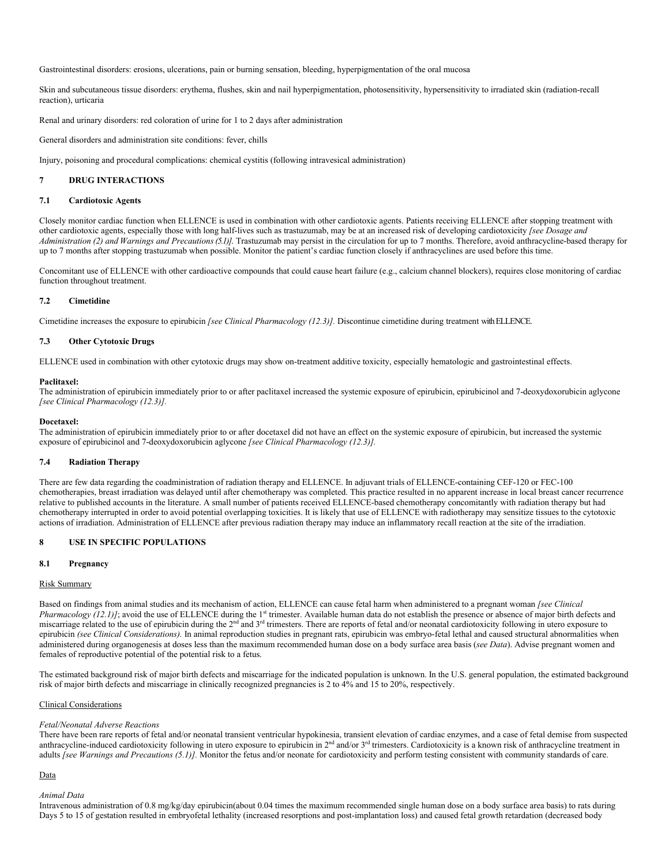Gastrointestinal disorders: erosions, ulcerations, pain or burning sensation, bleeding, hyperpigmentation of the oral mucosa

Skin and subcutaneous tissue disorders: erythema, flushes, skin and nail hyperpigmentation, photosensitivity, hypersensitivity to irradiated skin (radiation-recall reaction), urticaria

Renal and urinary disorders: red coloration of urine for 1 to 2 days after administration

General disorders and administration site conditions: fever, chills

Injury, poisoning and procedural complications: chemical cystitis (following intravesical administration)

# **7 DRUG INTERACTIONS**

#### **7.1 Cardiotoxic Agents**

Closely monitor cardiac function when ELLENCE is used in combination with other cardiotoxic agents. Patients receiving ELLENCE after stopping treatment with other cardiotoxic agents, especially those with long half-lives such as trastuzumab, may be at an increased risk of developing cardiotoxicity *[see Dosage and Administration (2) and Warnings and Precautions(5.1)]*. Trastuzumab may persist in the circulation for up to 7 months. Therefore, avoid anthracycline-based therapy for up to 7 months after stopping trastuzumab when possible. Monitor the patient's cardiac function closely if anthracyclines are used before this time.

Concomitant use of ELLENCE with other cardioactive compounds that could cause heart failure (e.g., calcium channel blockers), requires close monitoring of cardiac function throughout treatment.

#### **7.2 Cimetidine**

Cimetidine increases the exposure to epirubicin *[see Clinical Pharmacology (12.3)].* Discontinue cimetidine during treatment with ELLENCE.

#### **7.3 Other Cytotoxic Drugs**

ELLENCE used in combination with other cytotoxic drugs may show on-treatment additive toxicity, especially hematologic and gastrointestinal effects.

#### **Paclitaxel:**

The administration of epirubicin immediately prior to or after paclitaxel increased the systemic exposure of epirubicin, epirubicinol and 7-deoxydoxorubicin aglycone *[see Clinical Pharmacology (12.3)].*

#### **Docetaxel:**

The administration of epirubicin immediately prior to or after docetaxel did not have an effect on the systemic exposure of epirubicin, but increased the systemic exposure of epirubicinol and 7-deoxydoxorubicin aglycone *[see Clinical Pharmacology (12.3)].*

# **7.4 Radiation Therapy**

There are few data regarding the coadministration of radiation therapy and ELLENCE. In adjuvant trials of ELLENCE-containing CEF-120 or FEC-100 chemotherapies, breast irradiation was delayed until after chemotherapy was completed. This practice resulted in no apparent increase in local breast cancer recurrence relative to published accounts in the literature. A small number of patients received ELLENCE-based chemotherapy concomitantly with radiation therapy but had chemotherapy interrupted in order to avoid potential overlapping toxicities. It is likely that use of ELLENCE with radiotherapy may sensitize tissues to the cytotoxic actions of irradiation. Administration of ELLENCE after previous radiation therapy may induce an inflammatory recall reaction at the site of the irradiation.

# **8 USE IN SPECIFIC POPULATIONS**

# **8.1 Pregnancy**

#### Risk Summary

Based on findings from animal studies and its mechanism of action, ELLENCE can cause fetal harm when administered to a pregnant woman *[see Clinical Pharmacology (12.1)]*; avoid the use of ELLENCE during the 1<sup>st</sup> trimester. Available human data do not establish the presence or absence of major birth defects and miscarriage related to the use of epirubicin during the 2<sup>nd</sup> and 3<sup>rd</sup> trimesters. There are reports of fetal and/or neonatal cardiotoxicity following in utero exposure to epirubicin *(see Clinical Considerations).* In animal reproduction studies in pregnant rats, epirubicin was embryo-fetal lethal and caused structural abnormalities when administered during organogenesis at doses less than the maximum recommended human dose on a body surface area basis (*see Data*). Advise pregnant women and females of reproductive potential of the potential risk to a fetus.

The estimated background risk of major birth defects and miscarriage for the indicated population is unknown. In the U.S. general population, the estimated background risk of major birth defects and miscarriage in clinically recognized pregnancies is 2 to 4% and 15 to 20%, respectively.

### Clinical Considerations

#### *Fetal/Neonatal Adverse Reactions*

There have been rare reports of fetal and/or neonatal transient ventricular hypokinesia, transient elevation of cardiac enzymes, and a case of fetal demise from suspected anthracycline-induced cardiotoxicity following in utero exposure to epirubicin in  $2<sup>nd</sup>$  and/or  $3<sup>rd</sup>$  trimesters. Cardiotoxicity is a known risk of anthracycline treatment in adults *[see Warnings and Precautions (5.1)]*. Monitor the fetus and/or neonate for cardiotoxicity and perform testing consistent with community standards of care.

#### Data

#### *Animal Data*

Intravenous administration of 0.8 mg/kg/day epirubicin(about 0.04 times the maximum recommended single human dose on a body surface area basis) to rats during Days 5 to 15 of gestation resulted in embryofetal lethality (increased resorptions and post-implantation loss) and caused fetal growth retardation (decreased body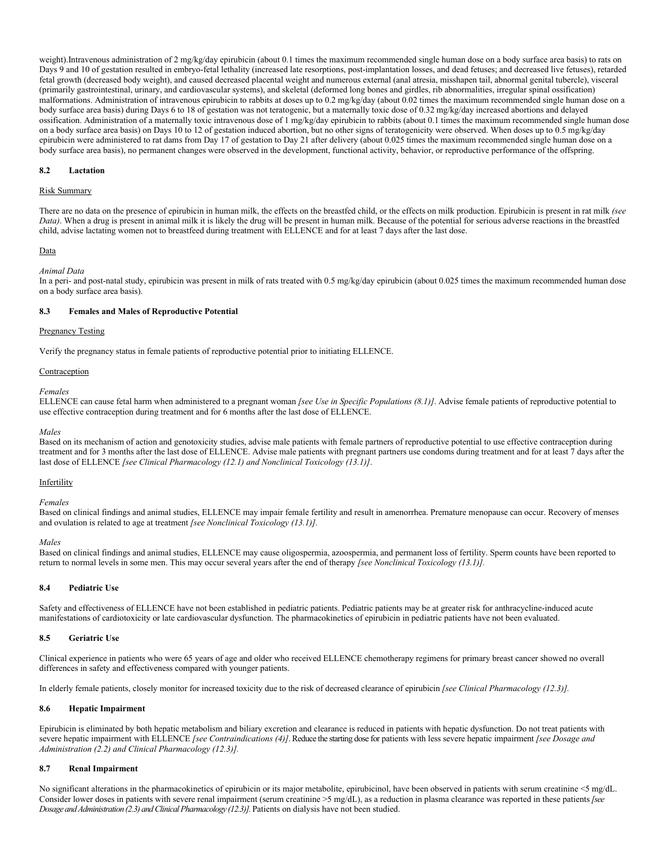weight).Intravenous administration of 2 mg/kg/day epirubicin (about 0.1 times the maximum recommended single human dose on a body surface area basis) to rats on Days 9 and 10 of gestation resulted in embryo-fetal lethality (increased late resorptions, post-implantation losses, and dead fetuses; and decreased live fetuses), retarded fetal growth (decreased body weight), and caused decreased placental weight and numerous external (anal atresia, misshapen tail, abnormal genital tubercle), visceral (primarily gastrointestinal, urinary, and cardiovascular systems), and skeletal (deformed long bones and girdles, rib abnormalities, irregular spinal ossification) malformations. Administration of intravenous epirubicin to rabbits at doses up to 0.2 mg/kg/day (about 0.02 times the maximum recommended single human dose on a body surface area basis) during Days 6 to 18 of gestation was not teratogenic, but a maternally toxic dose of 0.32 mg/kg/day increased abortions and delayed ossification. Administration of a maternally toxic intravenous dose of 1 mg/kg/day epirubicin to rabbits (about 0.1 times the maximum recommended single human dose on a body surface area basis) on Days 10 to 12 of gestation induced abortion, but no other signs of teratogenicity were observed. When doses up to 0.5 mg/kg/day epirubicin were administered to rat dams from Day 17 of gestation to Day 21 after delivery (about 0.025 times the maximum recommended single human dose on a body surface area basis), no permanent changes were observed in the development, functional activity, behavior, or reproductive performance of the offspring.

### **8.2 Lactation**

# Risk Summary

There are no data on the presence of epirubicin in human milk, the effects on the breastfed child, or the effects on milk production. Epirubicin is present in rat milk *(see Data)*. When a drug is present in animal milk it is likely the drug will be present in human milk. Because of the potential for serious adverse reactions in the breastfed child, advise lactating women not to breastfeed during treatment with ELLENCE and for at least 7 days after the last dose.

#### Data

#### *Animal Data*

In a peri- and post-natal study, epirubicin was present in milk of rats treated with 0.5 mg/kg/day epirubicin (about 0.025 times the maximum recommended human dose on a body surface area basis).

# **8.3 Females and Males of Reproductive Potential**

# **Pregnancy Testing**

Verify the pregnancy status in female patients of reproductive potential prior to initiating ELLENCE.

#### Contraception

#### *Females*

ELLENCE can cause fetal harm when administered to a pregnant woman *[see Use in Specific Populations (8.1)]*. Advise female patients of reproductive potential to use effective contraception during treatment and for 6 months after the last dose of ELLENCE.

#### *Males*

Based on its mechanism of action and genotoxicity studies, advise male patients with female partners of reproductive potential to use effective contraception during treatment and for 3 months after the last dose of ELLENCE. Advise male patients with pregnant partners use condoms during treatment and for at least 7 days after the last dose of ELLENCE *[see Clinical Pharmacology (12.1) and Nonclinical Toxicology (13.1)]*.

#### **Infertility**

#### *Females*

Based on clinical findings and animal studies, ELLENCE may impair female fertility and result in amenorrhea. Premature menopause can occur. Recovery of menses and ovulation is related to age at treatment *[see Nonclinical Toxicology (13.1)].*

#### *Males*

Based on clinical findings and animal studies, ELLENCE may cause oligospermia, azoospermia, and permanent loss of fertility. Sperm counts have been reported to return to normal levels in some men. This may occur several years after the end of therapy *[see Nonclinical Toxicology (13.1)].*

#### **8.4 Pediatric Use**

Safety and effectiveness of ELLENCE have not been established in pediatric patients. Pediatric patients may be at greater risk for anthracycline-induced acute manifestations of cardiotoxicity or late cardiovascular dysfunction. The pharmacokinetics of epirubicin in pediatric patients have not been evaluated.

#### **8.5 Geriatric Use**

Clinical experience in patients who were 65 years of age and older who received ELLENCE chemotherapy regimens for primary breast cancer showed no overall differences in safety and effectiveness compared with younger patients.

In elderly female patients, closely monitor for increased toxicity due to the risk of decreased clearance of epirubicin *[see Clinical Pharmacology (12.3)].*

#### **8.6 Hepatic Impairment**

Epirubicin is eliminated by both hepatic metabolism and biliary excretion and clearance is reduced in patients with hepatic dysfunction. Do not treat patients with severe hepatic impairment with ELLENCE *[see Contraindications (4)]*. Reduce the starting dose for patients with less severe hepatic impairment *[see Dosage and Administration (2.2) and Clinical Pharmacology (12.3)].*

# **8.7 Renal Impairment**

No significant alterations in the pharmacokinetics of epirubicin or its major metabolite, epirubicinol, have been observed in patients with serum creatinine <5 mg/dL. Consider lower doses in patients with severe renal impairment (serum creatinine >5 mg/dL), as a reduction in plasma clearance was reported in these patients*[see Dosage and Administration (2.3) and Clinical Pharmacology (12.3)].*Patients on dialysis have not been studied.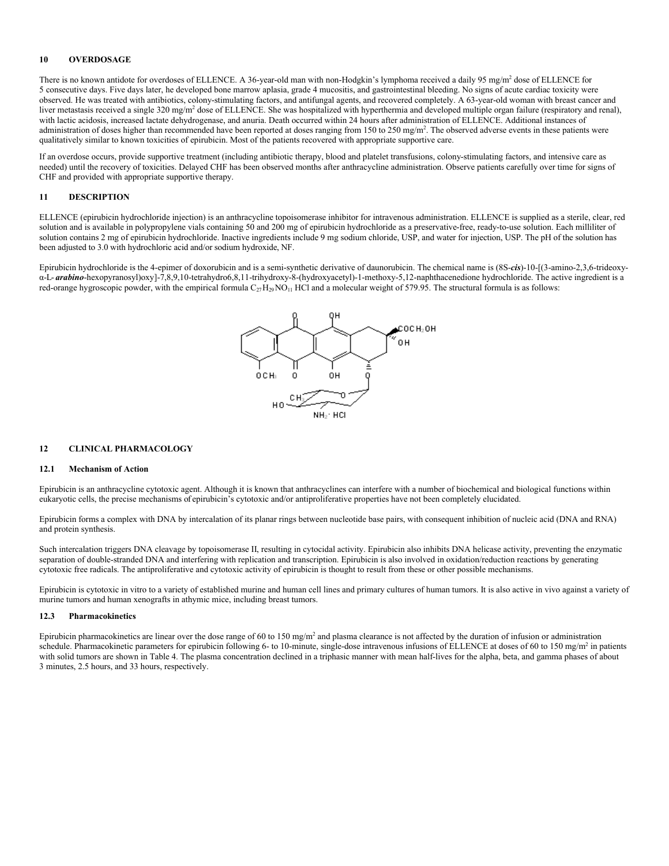# **10 OVERDOSAGE**

There is no known antidote for overdoses of ELLENCE. A 36-year-old man with non-Hodgkin's lymphoma received a daily 95 mg/m<sup>2</sup> dose of ELLENCE for 5 consecutive days. Five days later, he developed bone marrow aplasia, grade 4 mucositis, and gastrointestinal bleeding. No signs of acute cardiac toxicity were observed. He was treated with antibiotics, colony-stimulating factors, and antifungal agents, and recovered completely. A 63-year-old woman with breast cancer and liver metastasis received a single 320 mg/m<sup>2</sup> dose of ELLENCE. She was hospitalized with hyperthermia and developed multiple organ failure (respiratory and renal), with lactic acidosis, increased lactate dehydrogenase, and anuria. Death occurred within 24 hours after administration of ELLENCE. Additional instances of administration of doses higher than recommended have been reported at doses ranging from 150 to 250 mg/m<sup>2</sup>. The observed adverse events in these patients were qualitatively similar to known toxicities of epirubicin. Most of the patients recovered with appropriate supportive care.

If an overdose occurs, provide supportive treatment (including antibiotic therapy, blood and platelet transfusions, colony-stimulating factors, and intensive care as needed) until the recovery of toxicities. Delayed CHF has been observed months after anthracycline administration. Observe patients carefully over time for signs of CHF and provided with appropriate supportive therapy.

# **11 DESCRIPTION**

ELLENCE (epirubicin hydrochloride injection) is an anthracycline topoisomerase inhibitor for intravenous administration. ELLENCE is supplied as a sterile, clear, red solution and is available in polypropylene vials containing 50 and 200 mg of epirubicin hydrochloride as a preservative-free, ready-to-use solution. Each milliliter of solution contains 2 mg of epirubicin hydrochloride. Inactive ingredients include 9 mg sodium chloride, USP, and water for injection, USP. The pH of the solution has been adjusted to 3.0 with hydrochloric acid and/or sodium hydroxide, NF.

Epirubicin hydrochloride is the 4-epimer of doxorubicin and is a semi-synthetic derivative of daunorubicin. The chemical name is (8S-*cis*)-10-[(3-amino-2,3,6-trideoxyα-L- *arabino*-hexopyranosyl)oxy]-7,8,9,10-tetrahydro6,8,11-trihydroxy-8-(hydroxyacetyl)-1-methoxy-5,12-naphthacenedione hydrochloride. The active ingredient is a red-orange hygroscopic powder, with the empirical formula  $C_{27}H_{29}NO_{11}$  HCl and a molecular weight of 579.95. The structural formula is as follows:



### **12 CLINICAL PHARMACOLOGY**

#### **12.1 Mechanism of Action**

Epirubicin is an anthracycline cytotoxic agent. Although it is known that anthracyclines can interfere with a number of biochemical and biological functions within eukaryotic cells, the precise mechanisms of epirubicin's cytotoxic and/or antiproliferative properties have not been completely elucidated.

Epirubicin forms a complex with DNA by intercalation of its planar rings between nucleotide base pairs, with consequent inhibition of nucleic acid (DNA and RNA) and protein synthesis.

Such intercalation triggers DNA cleavage by topoisomerase II, resulting in cytocidal activity. Epirubicin also inhibits DNA helicase activity, preventing the enzymatic separation of double-stranded DNA and interfering with replication and transcription. Epirubicin is also involved in oxidation/reduction reactions by generating cytotoxic free radicals. The antiproliferative and cytotoxic activity of epirubicin is thought to result from these or other possible mechanisms.

Epirubicin is cytotoxic in vitro to a variety of established murine and human cell lines and primary cultures of human tumors. It is also active in vivo against a variety of murine tumors and human xenografts in athymic mice, including breast tumors.

### **12.3 Pharmacokinetics**

Epirubicin pharmacokinetics are linear over the dose range of 60 to 150 mg/m<sup>2</sup> and plasma clearance is not affected by the duration of infusion or administration schedule. Pharmacokinetic parameters for epirubicin following 6- to 10-minute, single-dose intravenous infusions of ELLENCE at doses of 60 to 150 mg/m<sup>2</sup> in patients with solid tumors are shown in Table 4. The plasma concentration declined in a triphasic manner with mean half-lives for the alpha, beta, and gamma phases of about 3 minutes, 2.5 hours, and 33 hours, respectively.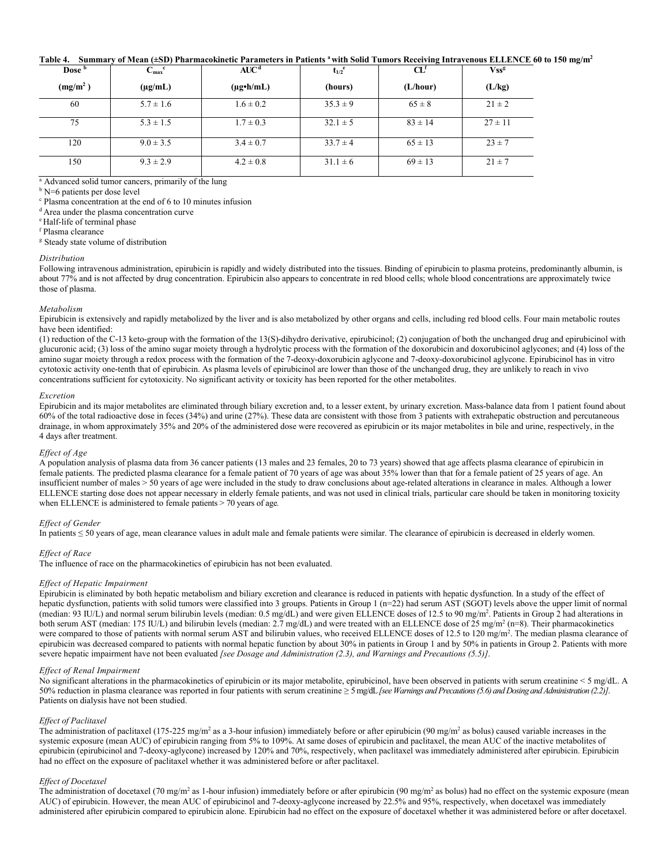# **Table 4. Summary of Mean (±SD) Pharmacokinetic Parameters in Patients <sup>a</sup>with Solid Tumors Receiving Intravenous ELLENCE 60 to 150 mg/m<sup>2</sup>**

| Dose b               | $C_{\rm max}^{\quad c}$ | AUC <sup>d</sup>     | $t_{1/2}$ <sup>e</sup> | $\mathbf{C} \mathbf{L}^{\text{f}}$ | <b>Vss<sup>g</sup></b> |
|----------------------|-------------------------|----------------------|------------------------|------------------------------------|------------------------|
| (mg/m <sup>2</sup> ) | $(\mu g/mL)$            | $(\mu g \cdot h/mL)$ | (hours)                | (L/hour)                           | (L/kg)                 |
| 60                   | $5.7 \pm 1.6$           | $1.6 \pm 0.2$        | $35.3 \pm 9$           | $65 \pm 8$                         | $21 \pm 2$             |
| 75                   | $5.3 \pm 1.5$           | $1.7 \pm 0.3$        | $32.1 \pm 5$           | $83 \pm 14$                        | $27 \pm 11$            |
| 120                  | $9.0 \pm 3.5$           | $3.4 \pm 0.7$        | $33.7 \pm 4$           | $65 \pm 13$                        | $23 \pm 7$             |
| 150                  | $9.3 \pm 2.9$           | $4.2 \pm 0.8$        | $31.1 \pm 6$           | $69 \pm 13$                        | $21 \pm 7$             |

<sup>a</sup> Advanced solid tumor cancers, primarily of the lung

<sup>b</sup> N=6 patients per dose level

<sup>c</sup> Plasma concentration at the end of 6 to 10 minutes infusion

<sup>d</sup> Area under the plasma concentration curve

<sup>e</sup> Half-life of terminal phase

<sup>f</sup> Plasma clearance

<sup>g</sup> Steady state volume of distribution

#### *Distribution*

Following intravenous administration, epirubicin is rapidly and widely distributed into the tissues. Binding of epirubicin to plasma proteins, predominantly albumin, is about 77% and is not affected by drug concentration. Epirubicin also appears to concentrate in red blood cells; whole blood concentrations are approximately twice those of plasma.

#### *Metabolism*

Epirubicin is extensively and rapidly metabolized by the liver and is also metabolized by other organs and cells, including red blood cells. Four main metabolic routes have been identified:

(1) reduction of the C-13 keto-group with the formation of the 13(S)-dihydro derivative, epirubicinol; (2) conjugation of both the unchanged drug and epirubicinol with glucuronic acid; (3) loss of the amino sugar moiety through a hydrolytic process with the formation of the doxorubicin and doxorubicinol aglycones; and (4) loss of the amino sugar moiety through a redox process with the formation of the 7-deoxy-doxorubicin aglycone and 7-deoxy-doxorubicinol aglycone. Epirubicinol has in vitro cytotoxic activity one-tenth that of epirubicin. As plasma levels of epirubicinol are lower than those of the unchanged drug, they are unlikely to reach in vivo concentrations sufficient for cytotoxicity. No significant activity or toxicity has been reported for the other metabolites.

# *Excretion*

Epirubicin and its major metabolites are eliminated through biliary excretion and, to a lesser extent, by urinary excretion. Mass-balance data from 1 patient found about 60% of the total radioactive dose in feces (34%) and urine (27%). These data are consistent with those from 3 patients with extrahepatic obstruction and percutaneous drainage, in whom approximately 35% and 20% of the administered dose were recovered as epirubicin or its major metabolites in bile and urine, respectively, in the 4 days after treatment.

#### *Effect of Age*

A population analysis of plasma data from 36 cancer patients (13 males and 23 females, 20 to 73 years) showed that age affects plasma clearance of epirubicin in female patients. The predicted plasma clearance for a female patient of 70 years of age was about 35% lower than that for a female patient of 25 years of age. An insufficient number of males > 50 years of age were included in the study to draw conclusions about age-related alterations in clearance in males. Although a lower ELLENCE starting dose does not appear necessary in elderly female patients, and was not used in clinical trials, particular care should be taken in monitoring toxicity when ELLENCE is administered to female patients > 70 years of age*.*

### *Effect of Gender*

In patients ≤ 50 years of age, mean clearance values in adult male and female patients were similar. The clearance of epirubicin is decreased in elderly women.

### *Effect of Race*

The influence of race on the pharmacokinetics of epirubicin has not been evaluated.

# *Effect of Hepatic Impairment*

Epirubicin is eliminated by both hepatic metabolism and biliary excretion and clearance is reduced in patients with hepatic dysfunction. In a study of the effect of hepatic dysfunction, patients with solid tumors were classified into 3 groups. Patients in Group 1 (n=22) had serum AST (SGOT) levels above the upper limit of normal (median: 93 IU/L) and normal serum bilirubin levels (median: 0.5 mg/dL) and were given ELLENCE doses of 12.5 to 90 mg/m<sup>2</sup>. Patients in Group 2 had alterations in both serum AST (median: 175 IU/L) and bilirubin levels (median: 2.7 mg/dL) and were treated with an ELLENCE dose of 25 mg/m<sup>2</sup> (n=8). Their pharmacokinetics were compared to those of patients with normal serum AST and bilirubin values, who received ELLENCE doses of 12.5 to 120 mg/m<sup>2</sup>. The median plasma clearance of epirubicin was decreased compared to patients with normal hepatic function by about 30% in patients in Group 1 and by 50% in patients in Group 2. Patients with more severe hepatic impairment have not been evaluated *[see Dosage and Administration (2.3), and Warnings and Precautions (5.5)]*.

### *Effect of Renal Impairment*

No significant alterations in the pharmacokinetics of epirubicin or its major metabolite, epirubicinol, have been observed in patients with serum creatinine < 5 mg/dL. A 50% reduction in plasma clearance was reported in four patients with serum creatinine ≥ 5 mg/dL*[see Warnings and Precautions (5.6) and Dosing and Administration (2.2)]*. Patients on dialysis have not been studied.

### *Effect of Paclitaxel*

The administration of paclitaxel (175-225 mg/m<sup>2</sup> as a 3-hour infusion) immediately before or after epirubicin (90 mg/m<sup>2</sup> as bolus) caused variable increases in the systemic exposure (mean AUC) of epirubicin ranging from 5% to 109%. At same doses of epirubicin and paclitaxel, the mean AUC of the inactive metabolites of epirubicin (epirubicinol and 7-deoxy-aglycone) increased by 120% and 70%, respectively, when paclitaxel was immediately administered after epirubicin. Epirubicin had no effect on the exposure of paclitaxel whether it was administered before or after paclitaxel.

### *Effect of Docetaxel*

The administration of docetaxel (70 mg/m<sup>2</sup> as 1-hour infusion) immediately before or after epirubicin (90 mg/m<sup>2</sup> as bolus) had no effect on the systemic exposure (mean AUC) of epirubicin. However, the mean AUC of epirubicinol and 7-deoxy-aglycone increased by 22.5% and 95%, respectively, when docetaxel was immediately administered after epirubicin compared to epirubicin alone. Epirubicin had no effect on the exposure of docetaxel whether it was administered before or after docetaxel.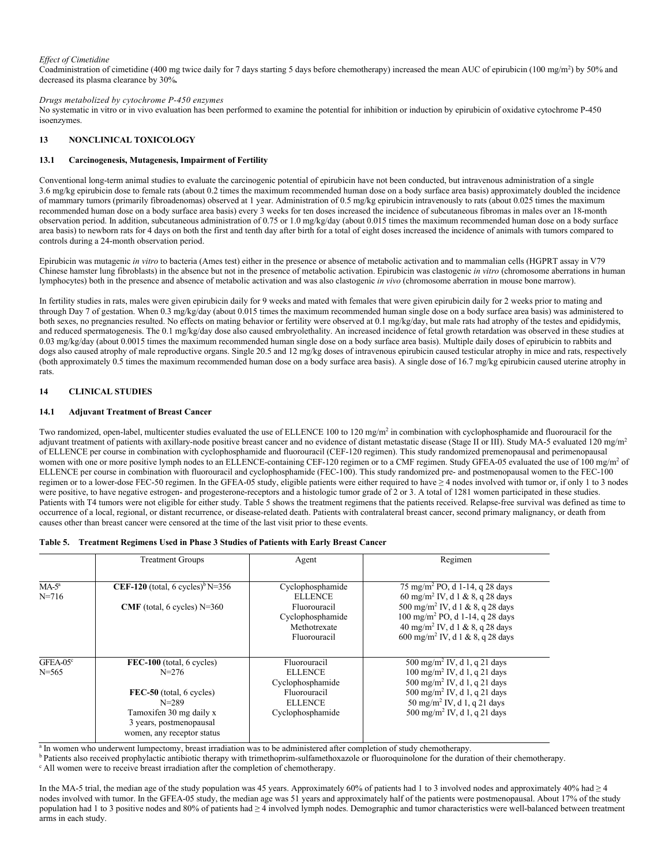# *Effect of Cimetidine*

Coadministration of cimetidine (400 mg twice daily for 7 days starting 5 days before chemotherapy) increased the mean AUC of epirubicin (100 mg/m<sup>2</sup>) by 50% and decreased its plasma clearance by 30%*.*

*Drugs metabolized by cytochrome P-450 enzymes* 

No systematic in vitro or in vivo evaluation has been performed to examine the potential for inhibition or induction by epirubicin of oxidative cytochrome P-450 isoenzymes.

# **13 NONCLINICAL TOXICOLOGY**

# **13.1 Carcinogenesis, Mutagenesis, Impairment of Fertility**

Conventional long-term animal studies to evaluate the carcinogenic potential of epirubicin have not been conducted, but intravenous administration of a single 3.6 mg/kg epirubicin dose to female rats (about 0.2 times the maximum recommended human dose on a body surface area basis) approximately doubled the incidence of mammary tumors (primarily fibroadenomas) observed at 1 year. Administration of 0.5 mg/kg epirubicin intravenously to rats (about 0.025 times the maximum recommended human dose on a body surface area basis) every 3 weeks for ten doses increased the incidence of subcutaneous fibromas in males over an 18-month observation period. In addition, subcutaneous administration of 0.75 or 1.0 mg/kg/day (about 0.015 times the maximum recommended human dose on a body surface area basis) to newborn rats for 4 days on both the first and tenth day after birth for a total of eight doses increased the incidence of animals with tumors compared to controls during a 24-month observation period.

Epirubicin was mutagenic *in vitro* to bacteria (Ames test) either in the presence or absence of metabolic activation and to mammalian cells (HGPRT assay in V79 Chinese hamster lung fibroblasts) in the absence but not in the presence of metabolic activation. Epirubicin was clastogenic *in vitro* (chromosome aberrations in human lymphocytes) both in the presence and absence of metabolic activation and was also clastogenic *in vivo* (chromosome aberration in mouse bone marrow).

In fertility studies in rats, males were given epirubicin daily for 9 weeks and mated with females that were given epirubicin daily for 2 weeks prior to mating and through Day 7 of gestation. When 0.3 mg/kg/day (about 0.015 times the maximum recommended human single dose on a body surface area basis) was administered to both sexes, no pregnancies resulted. No effects on mating behavior or fertility were observed at 0.1 mg/kg/day, but male rats had atrophy of the testes and epididymis, and reduced spermatogenesis. The 0.1 mg/kg/day dose also caused embryolethality. An increased incidence of fetal growth retardation was observed in these studies at 0.03 mg/kg/day (about 0.0015 times the maximum recommended human single dose on a body surface area basis). Multiple daily doses of epirubicin to rabbits and dogs also caused atrophy of male reproductive organs. Single 20.5 and 12 mg/kg doses of intravenous epirubicin caused testicular atrophy in mice and rats, respectively (both approximately 0.5 times the maximum recommended human dose on a body surface area basis). A single dose of 16.7 mg/kg epirubicin caused uterine atrophy in rats.

# **14 CLINICAL STUDIES**

# **14.1 Adjuvant Treatment of Breast Cancer**

Two randomized, open-label, multicenter studies evaluated the use of ELLENCE 100 to 120 mg/m<sup>2</sup> in combination with cyclophosphamide and fluorouracil for the adjuvant treatment of patients with axillary-node positive breast cancer and no evidence of distant metastatic disease (Stage II or III). Study MA-5 evaluated 120 mg/m<sup>2</sup> of ELLENCE per course in combination with cyclophosphamide and fluorouracil (CEF-120 regimen). This study randomized premenopausal and perimenopausal women with one or more positive lymph nodes to an ELLENCE-containing CEF-120 regimen or to a CMF regimen. Study GFEA-05 evaluated the use of 100 mg/m<sup>2</sup> of ELLENCE per course in combination with fluorouracil and cyclophosphamide (FEC-100). This study randomized pre- and postmenopausal women to the FEC-100 regimen or to a lower-dose FEC-50 regimen. In the GFEA-05 study, eligible patients were either required to have ≥ 4 nodes involved with tumor or, if only 1 to 3 nodes were positive, to have negative estrogen- and progesterone-receptors and a histologic tumor grade of 2 or 3. A total of 1281 women participated in these studies. Patients with T4 tumors were not eligible for either study. Table 5 shows the treatment regimens that the patients received. Relapse-free survival was defined as time to occurrence of a local, regional, or distant recurrence, or disease-related death. Patients with contralateral breast cancer, second primary malignancy, or death from causes other than breast cancer were censored at the time of the last visit prior to these events.

| Table 5. Treatment Regimens Used in Phase 3 Studies of Patients with Early Breast Cancer |  |
|------------------------------------------------------------------------------------------|--|
|                                                                                          |  |

|            | <b>Treatment Groups</b>                      | Agent            | Regimen                                      |
|------------|----------------------------------------------|------------------|----------------------------------------------|
| $MA-5^a$   | CEF-120 (total, 6 cycles) <sup>b</sup> N=356 | Cyclophosphamide | $75 \text{ mg/m}^2$ PO, d 1-14, q 28 days    |
| $N = 716$  |                                              | <b>ELLENCE</b>   | 60 mg/m <sup>2</sup> IV, d 1 & 8, q 28 days  |
|            | CMF (total, 6 cycles) $N=360$                | Fluorouracil     | 500 mg/m <sup>2</sup> IV, d 1 & 8, q 28 days |
|            |                                              | Cyclophosphamide | $100 \text{ mg/m}^2$ PO, d 1-14, q 28 days   |
|            |                                              | Methotrexate     | 40 mg/m <sup>2</sup> IV, d 1 & 8, q 28 days  |
|            |                                              | Fluorouracil     | 600 mg/m <sup>2</sup> IV, d 1 & 8, q 28 days |
| $GFEA-05c$ | FEC-100 (total, 6 cycles)                    | Fluorouracil     | 500 mg/m <sup>2</sup> IV, d 1, q 21 days     |
| $N = 565$  | $N = 276$                                    | <b>ELLENCE</b>   | $100 \text{ mg/m}^2$ IV, d 1, q 21 days      |
|            |                                              | Cyclophosphamide | 500 mg/m <sup>2</sup> IV, d 1, q 21 days     |
|            | FEC-50 (total, 6 cycles)                     | Fluorouracil     | 500 mg/m <sup>2</sup> IV, d 1, q 21 days     |
|            | $N = 289$                                    | <b>ELLENCE</b>   | 50 mg/m <sup>2</sup> IV, d 1, q 21 days      |
|            | Tamoxifen 30 mg daily x                      | Cyclophosphamide | 500 mg/m <sup>2</sup> IV, d 1, q 21 days     |
|            | 3 years, postmenopausal                      |                  |                                              |
|            | women, any receptor status                   |                  |                                              |

<sup>a</sup> In women who underwent lumpectomy, breast irradiation was to be administered after completion of study chemotherapy.

**b** Patients also received prophylactic antibiotic therapy with trimethoprim-sulfamethoxazole or fluoroquinolone for the duration of their chemotherapy.

<sup>c</sup> All women were to receive breast irradiation after the completion of chemotherapy.

In the MA-5 trial, the median age of the study population was 45 years. Approximately 60% of patients had 1 to 3 involved nodes and approximately 40% had  $\geq 4$ nodes involved with tumor. In the GFEA-05 study, the median age was 51 years and approximately half of the patients were postmenopausal. About 17% of the study population had 1 to 3 positive nodes and 80% of patients had ≥ 4 involved lymph nodes. Demographic and tumor characteristics were well-balanced between treatment arms in each study.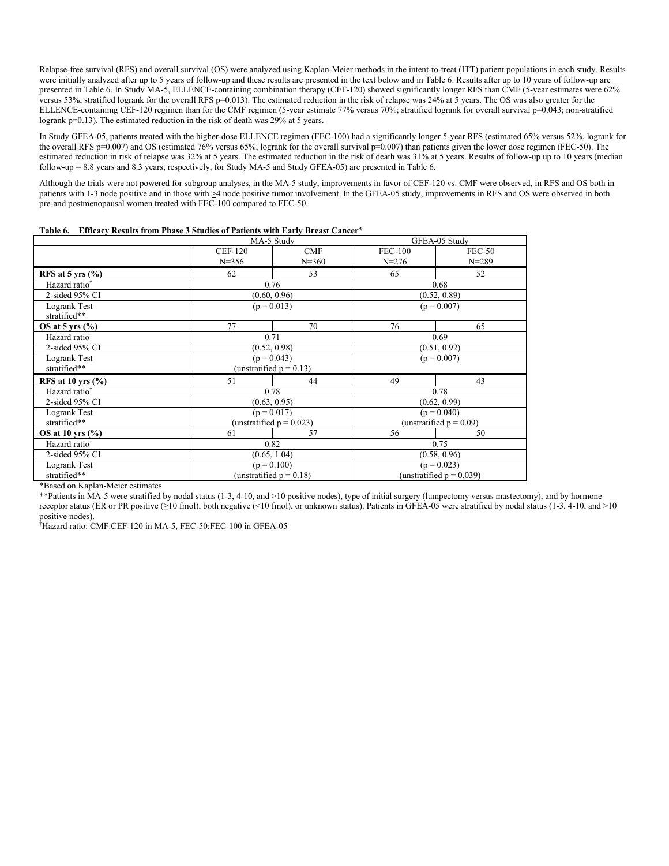Relapse-free survival (RFS) and overall survival (OS) were analyzed using Kaplan-Meier methods in the intent-to-treat (ITT) patient populations in each study. Results were initially analyzed after up to 5 years of follow-up and these results are presented in the text below and in Table 6. Results after up to 10 years of follow-up are presented in Table 6. In Study MA-5, ELLENCE-containing combination therapy (CEF-120) showed significantly longer RFS than CMF (5-year estimates were 62% versus 53%, stratified logrank for the overall RFS p=0.013). The estimated reduction in the risk of relapse was 24% at 5 years. The OS was also greater for the ELLENCE-containing CEF-120 regimen than for the CMF regimen (5-year estimate 77% versus 70%; stratified logrank for overall survival p=0.043; non-stratified logrank p=0.13). The estimated reduction in the risk of death was 29% at 5 years.

In Study GFEA-05, patients treated with the higher-dose ELLENCE regimen (FEC-100) had a significantly longer 5-year RFS (estimated 65% versus 52%, logrank for the overall RFS p=0.007) and OS (estimated 76% versus 65%, logrank for the overall survival p=0.007) than patients given the lower dose regimen (FEC-50). The estimated reduction in risk of relapse was 32% at 5 years. The estimated reduction in the risk of death was 31% at 5 years. Results of follow-up up to 10 years (median follow-up = 8.8 years and 8.3 years, respectively, for Study MA-5 and Study GFEA-05) are presented in Table 6.

Although the trials were not powered for subgroup analyses, in the MA-5 study, improvements in favor of CEF-120 vs. CMF were observed, in RFS and OS both in patients with 1-3 node positive and in those with  $\geq 4$  node positive tumor involvement. In the GFEA-05 study, improvements in RFS and OS were observed in both pre-and postmenopausal women treated with FEC-100 compared to FEC-50.

|                              | MA-5 Study                  |                            | GFEA-05 Study               |                             |  |
|------------------------------|-----------------------------|----------------------------|-----------------------------|-----------------------------|--|
|                              | <b>CEF-120</b><br>$N = 356$ | CMF<br>$N = 360$           | <b>FEC-100</b><br>$N = 276$ | <b>FEC-50</b><br>$N = 289$  |  |
| RFS at 5 yrs $(\%$ )         | 62                          | 53                         | 65                          | 52                          |  |
| Hazard ratio <sup>†</sup>    | 0.76                        |                            |                             | 0.68                        |  |
| 2-sided 95% CI               | (0.60, 0.96)                |                            |                             | (0.52, 0.89)                |  |
| Logrank Test<br>stratified** | $(p = 0.013)$               |                            | $(p = 0.007)$               |                             |  |
| OS at 5 yrs $(\%$            | 77                          | 70                         | 76                          | 65                          |  |
| Hazard ratio <sup>†</sup>    |                             | 0.69<br>0.71               |                             |                             |  |
| 2-sided 95% CI               | (0.52, 0.98)                |                            | (0.51, 0.92)                |                             |  |
| Logrank Test                 | $(p = 0.043)$               |                            | $(p = 0.007)$               |                             |  |
| stratified**                 |                             | (unstratified $p = 0.13$ ) |                             |                             |  |
| RFS at 10 yrs $(\%$          | 51                          | 44                         | 49                          | 43                          |  |
| Hazard ratio <sup>†</sup>    |                             | 0.78                       |                             | 0.78                        |  |
| $2$ -sided 95% CI            |                             | (0.63, 0.95)               |                             | (0.62, 0.99)                |  |
| Logrank Test                 |                             | $(p = 0.017)$              |                             | $(p = 0.040)$               |  |
| stratified**                 | (unstratified $p = 0.023$ ) |                            | (unstratified $p = 0.09$ )  |                             |  |
| OS at 10 yrs $(\%$ )         | 61                          | 57                         | 56                          | 50                          |  |
| Hazard ratio <sup>†</sup>    | 0.82                        |                            | 0.75                        |                             |  |
| $2$ -sided 95% CI            | (0.65, 1.04)                |                            |                             | (0.58, 0.96)                |  |
| Logrank Test                 | $(p = 0.100)$               |                            | $(p = 0.023)$               |                             |  |
| stratified**                 |                             | (unstratified $p = 0.18$ ) |                             | (unstratified $p = 0.039$ ) |  |

|  | Table 6. Efficacy Results from Phase 3 Studies of Patients with Early Breast Cancer* |  |
|--|--------------------------------------------------------------------------------------|--|
|  |                                                                                      |  |

\*Based on Kaplan-Meier estimates

\*\*Patients in MA-5 were stratified by nodal status (1-3, 4-10, and >10 positive nodes), type of initial surgery (lumpectomy versus mastectomy), and by hormone receptor status (ER or PR positive (≥10 fmol), both negative (<10 fmol), or unknown status). Patients in GFEA-05 were stratified by nodal status (1-3, 4-10, and >10 positive nodes).

†Hazard ratio: CMF:CEF-120 in MA-5, FEC-50:FEC-100 in GFEA-05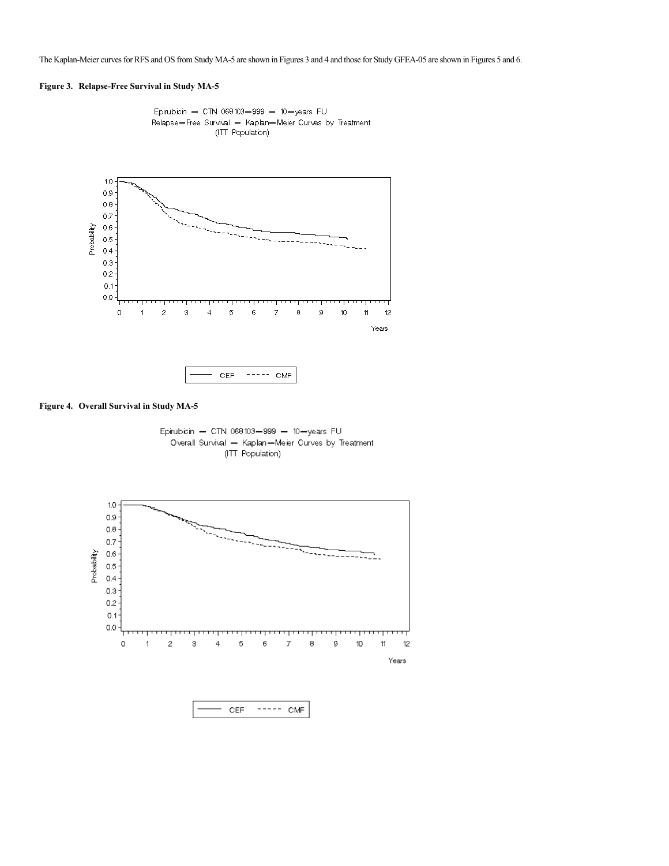The Kaplan-Meier curves for RFS and OS from Study MA-5 are shown in Figures 3 and 4 and those for Study GFEA-05 are shown in Figures 5 and 6.

# **Figure 3. Relapse-Free Survival in Study MA-5**



Epirubicin - CTN 068103-999 - 10-years FU Relapse-Free Survival - Kaplan-Meier Curves by Treatment (ITT Population)

# **Figure 4. Overall Survival in Study MA-5**





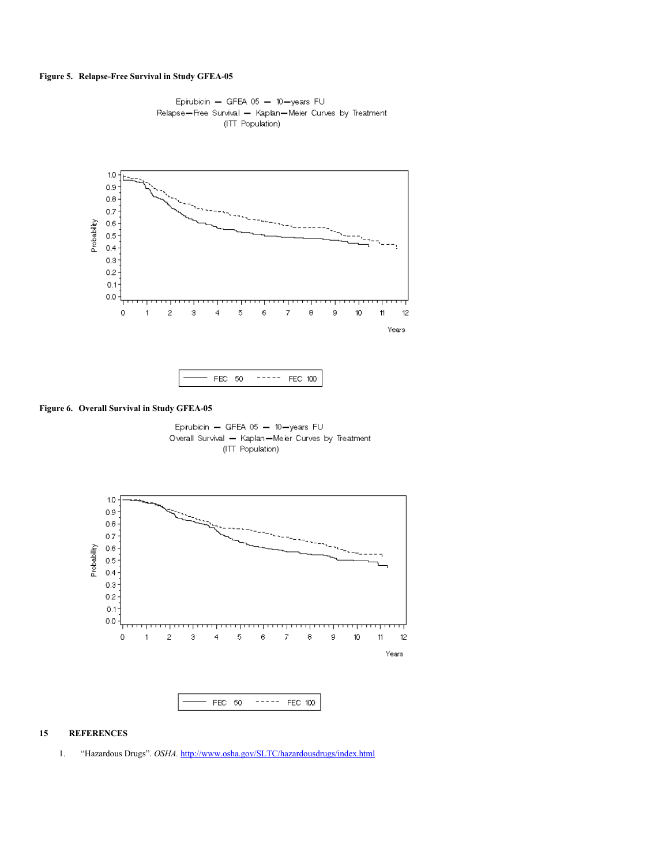# **Figure 5. Relapse-Free Survival in Study GFEA-05**





# **Figure 6. Overall Survival in Study GFEA-05**

Epirubicin - GFEA 05 - 10-years FU Overall Survival - Kaplan-Meler Curves by Treatment (ITT Population)



# **15 REFERENCES**

1. "Hazardous Drugs". *OSHA.* <http://www.osha.gov/SLTC/hazardousdrugs/index.html>